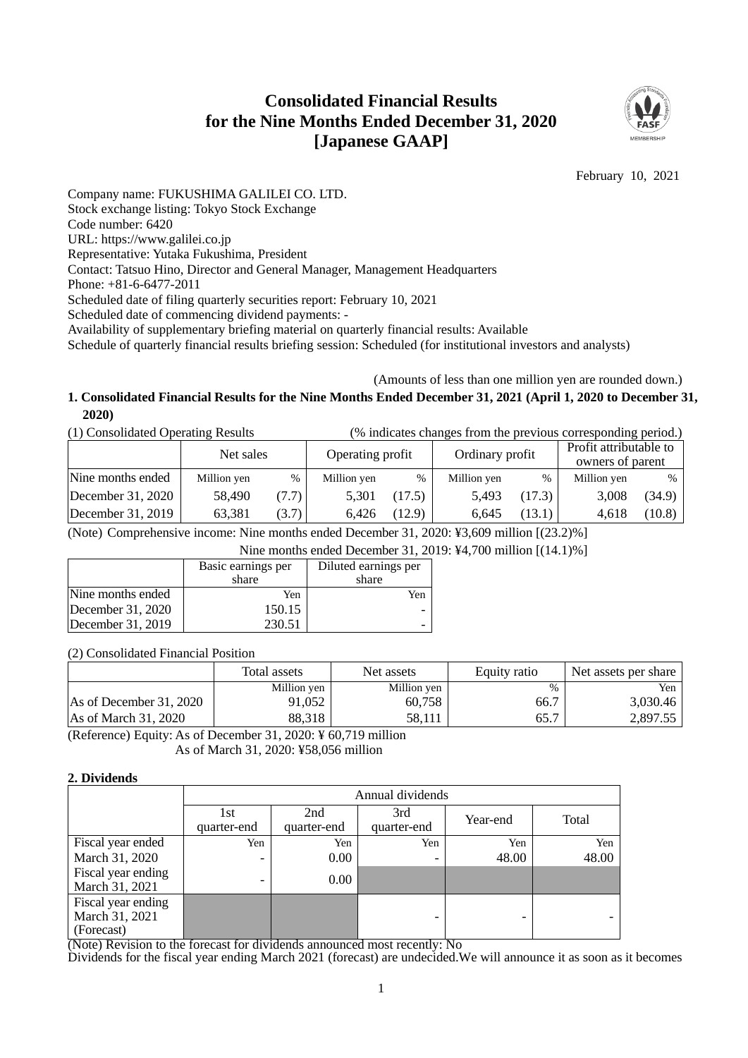# **Consolidated Financial Results for the Nine Months Ended December 31, 2020 [Japanese GAAP]**



February 10, 2021

Company name: FUKUSHIMA GALILEI CO. LTD. Stock exchange listing: Tokyo Stock Exchange Code number: 6420 URL: https://www.galilei.co.jp Representative: Yutaka Fukushima, President Contact: Tatsuo Hino, Director and General Manager, Management Headquarters Phone: +81-6-6477-2011 Scheduled date of filing quarterly securities report: February 10, 2021 Scheduled date of commencing dividend payments: - Availability of supplementary briefing material on quarterly financial results: Available Schedule of quarterly financial results briefing session: Scheduled (for institutional investors and analysts)

### (Amounts of less than one million yen are rounded down.) **1. Consolidated Financial Results for the Nine Months Ended December 31, 2021 (April 1, 2020 to December 31, 2020)**

| (1) Consolidated Operating Results | (% indicates changes from the previous corresponding period.) |       |                  |        |                 |        |                                            |        |
|------------------------------------|---------------------------------------------------------------|-------|------------------|--------|-----------------|--------|--------------------------------------------|--------|
|                                    | Net sales                                                     |       | Operating profit |        | Ordinary profit |        | Profit attributable to<br>owners of parent |        |
| Nine months ended                  | Million yen                                                   | $\%$  | Million yen      | $\%$   | Million yen     | %      | Million yen                                | %      |
| December 31, 2020                  | 58,490                                                        | (7.7) | 5,301            | (17.5) | 5.493           | (17.3) | 3,008                                      | (34.9) |
| December $31, 2019$                | 63,381                                                        | (3.7) | 6.426            | (12.9) | 6.645           | (13.1) | 4,618                                      | (10.8) |

(Note) Comprehensive income: Nine months ended December 31, 2020: ¥3,609 million [(23.2)%]

Nine months ended December 31, 2019: ¥4,700 million [(14.1)%]

|                   | Basic earnings per | Diluted earnings per |  |  |
|-------------------|--------------------|----------------------|--|--|
|                   | share              | share                |  |  |
| Nine months ended | Yen                | Yen                  |  |  |
| December 31, 2020 | 150.15             |                      |  |  |
| December 31, 2019 | 230.51             |                      |  |  |

(2) Consolidated Financial Position

|                         | Total assets | Net assets  | Equity ratio | Net assets per share |  |
|-------------------------|--------------|-------------|--------------|----------------------|--|
|                         | Million yen  | Million yen | %            | Yen                  |  |
| As of December 31, 2020 | 91.052       | 60,758      | 66.7         | 3,030.46             |  |
| As of March 31, 2020    | 88,318       | 58.111      | 65.7         | 2.897.55             |  |

(Reference) Equity: As of December 31, 2020: ¥ 60,719 million As of March 31, 2020: ¥58,056 million

#### **2. Dividends**

|                                                    | Annual dividends   |                    |                    |          |       |  |  |  |
|----------------------------------------------------|--------------------|--------------------|--------------------|----------|-------|--|--|--|
|                                                    | 1st<br>quarter-end | 2nd<br>quarter-end | 3rd<br>quarter-end | Year-end | Total |  |  |  |
| Fiscal year ended                                  | Yen                | Yen                | Yen                | Yen      | Yen   |  |  |  |
| March 31, 2020                                     | -                  | 0.00               |                    | 48.00    | 48.00 |  |  |  |
| Fiscal year ending<br>March 31, 2021               | -                  | 0.00               |                    |          |       |  |  |  |
| Fiscal year ending<br>March 31, 2021<br>(Forecast) |                    |                    |                    |          |       |  |  |  |

(Note) Revision to the forecast for dividends announced most recently: No

Dividends for the fiscal year ending March 2021 (forecast) are undecided.We will announce it as soon as it becomes